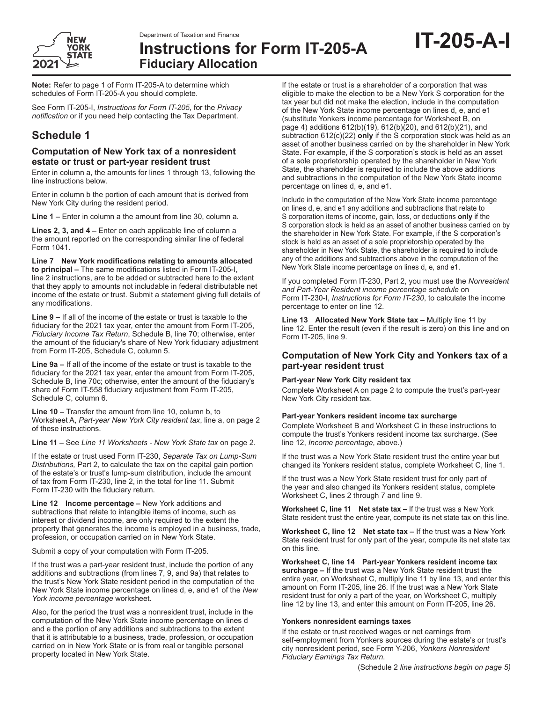

# **Instructions for Form IT-205-A Fiduciary Allocation**

**Note:** Refer to page 1 of Form IT-205-A to determine which schedules of Form IT-205-A you should complete.

See Form IT-205-I, *Instructions for Form IT-205*, for the *Privacy notification* or if you need help contacting the Tax Department.

# **Schedule 1**

### **Computation of New York tax of a nonresident estate or trust or part-year resident trust**

Enter in column a, the amounts for lines 1 through 13, following the line instructions below.

Enter in column b the portion of each amount that is derived from New York City during the resident period.

**Line 1 –** Enter in column a the amount from line 30, column a.

**Lines 2, 3, and 4 –** Enter on each applicable line of column a the amount reported on the corresponding similar line of federal Form 1041.

**Line 7 New York modifications relating to amounts allocated to principal –** The same modifications listed in Form IT-205-I, line 2 instructions, are to be added or subtracted here to the extent that they apply to amounts not includable in federal distributable net income of the estate or trust. Submit a statement giving full details of any modifications.

**Line 9 –** If all of the income of the estate or trust is taxable to the fiduciary for the 2021 tax year, enter the amount from Form IT-205, *Fiduciary Income Tax Return*, Schedule B, line 70; otherwise, enter the amount of the fiduciary's share of New York fiduciary adjustment from Form IT-205, Schedule C, column 5.

**Line 9a –** If all of the income of the estate or trust is taxable to the fiduciary for the 2021 tax year, enter the amount from Form IT-205, Schedule B, line 70c; otherwise, enter the amount of the fiduciary's share of Form IT-558 fiduciary adjustment from Form IT-205, Schedule C, column 6.

**Line 10 –** Transfer the amount from line 10, column b, to Worksheet A, *Part-year New York City resident tax*, line a, on page 2 of these instructions.

**Line 11 –** See *Line 11 Worksheets - New York State tax* on page 2.

If the estate or trust used Form IT-230, *Separate Tax on Lump-Sum Distributions,* Part 2, to calculate the tax on the capital gain portion of the estate's or trust's lump-sum distribution, include the amount of tax from Form IT-230, line 2, in the total for line 11. Submit Form IT‑230 with the fiduciary return.

**Line 12 Income percentage –** New York additions and subtractions that relate to intangible items of income, such as interest or dividend income, are only required to the extent the property that generates the income is employed in a business, trade, profession, or occupation carried on in New York State.

Submit a copy of your computation with Form IT-205.

If the trust was a part-year resident trust, include the portion of any additions and subtractions (from lines 7, 9, and 9a) that relates to the trust's New York State resident period in the computation of the New York State income percentage on lines d, e, and e1 of the *New York income percentage* worksheet.

Also, for the period the trust was a nonresident trust, include in the computation of the New York State income percentage on lines d and e the portion of any additions and subtractions to the extent that it is attributable to a business, trade, profession, or occupation carried on in New York State or is from real or tangible personal property located in New York State.

If the estate or trust is a shareholder of a corporation that was eligible to make the election to be a New York S corporation for the tax year but did not make the election, include in the computation of the New York State income percentage on lines d, e, and e1 (substitute Yonkers income percentage for Worksheet B, on page 4) additions 612(b)(19), 612(b)(20), and 612(b)(21), and subtraction 612(c)(22) **only** if the S corporation stock was held as an asset of another business carried on by the shareholder in New York State. For example, if the S corporation's stock is held as an asset of a sole proprietorship operated by the shareholder in New York State, the shareholder is required to include the above additions and subtractions in the computation of the New York State income percentage on lines d, e, and e1.

Include in the computation of the New York State income percentage on lines d, e, and e1 any additions and subtractions that relate to S corporation items of income, gain, loss, or deductions **only** if the S corporation stock is held as an asset of another business carried on by the shareholder in New York State. For example, if the S corporation's stock is held as an asset of a sole proprietorship operated by the shareholder in New York State, the shareholder is required to include any of the additions and subtractions above in the computation of the New York State income percentage on lines d, e, and e1.

If you completed Form IT-230, Part 2, you must use the *Nonresident and Part-Year Resident income percentage schedule* on Form IT-230-I, *Instructions for Form IT-230*, to calculate the income percentage to enter on line 12.

**Line 13 Allocated New York State tax –** Multiply line 11 by line 12. Enter the result (even if the result is zero) on this line and on Form IT-205, line 9.

### **Computation of New York City and Yonkers tax of a part-year resident trust**

### **Part-year New York City resident tax**

Complete Worksheet A on page 2 to compute the trust's part-year New York City resident tax.

### **Part-year Yonkers resident income tax surcharge**

Complete Worksheet B and Worksheet C in these instructions to compute the trust's Yonkers resident income tax surcharge. (See line 12, *Income percentage*, above.)

If the trust was a New York State resident trust the entire year but changed its Yonkers resident status, complete Worksheet C, line 1.

If the trust was a New York State resident trust for only part of the year and also changed its Yonkers resident status, complete Worksheet C, lines 2 through 7 and line 9.

**Worksheet C, line 11 Net state tax –** If the trust was a New York State resident trust the entire year, compute its net state tax on this line.

**Worksheet C, line 12 Net state tax –** If the trust was a New York State resident trust for only part of the year, compute its net state tax on this line.

**Worksheet C, line 14 Part-year Yonkers resident income tax surcharge –** If the trust was a New York State resident trust the entire year, on Worksheet C, multiply line 11 by line 13, and enter this amount on Form IT-205, line 26. If the trust was a New York State resident trust for only a part of the year, on Worksheet C, multiply line 12 by line 13, and enter this amount on Form IT-205, line 26.

### **Yonkers nonresident earnings taxes**

If the estate or trust received wages or net earnings from self-employment from Yonkers sources during the estate's or trust's city nonresident period, see Form Y-206, *Yonkers Nonresident Fiduciary Earnings Tax Return*.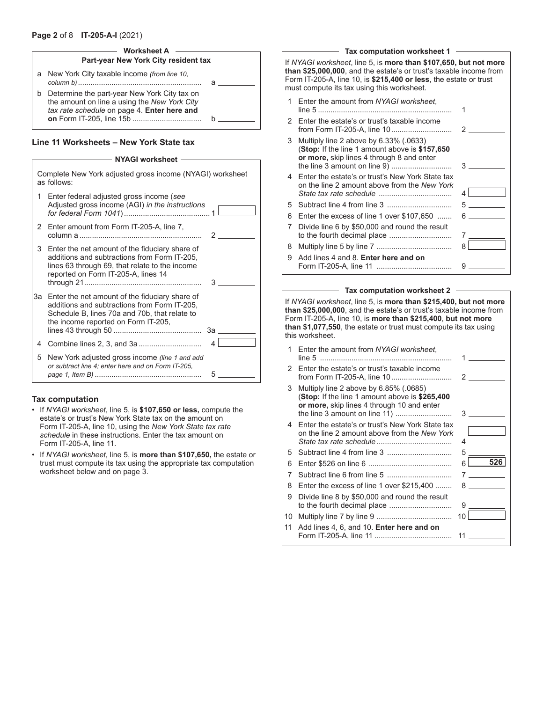#### **Page 2** of 8 **IT-205-A-I** (2021)

### **Worksheet A**

|   | Part-year New York City resident tax                                                                                                        |  |
|---|---------------------------------------------------------------------------------------------------------------------------------------------|--|
|   | a New York City taxable income (from line 10.                                                                                               |  |
| b | Determine the part-year New York City tax on<br>the amount on line a using the New York City<br>tax rate schedule on page 4. Enter here and |  |

### **Line 11 Worksheets – New York State tax**

#### **NYAGI worksheet**

|   | Complete New York adjusted gross income (NYAGI) worksheet<br>as follows:                                                                                                                  |    |  |  |  |  |  |
|---|-------------------------------------------------------------------------------------------------------------------------------------------------------------------------------------------|----|--|--|--|--|--|
| 1 | Enter federal adjusted gross income (see<br>Adjusted gross income (AGI) in the instructions                                                                                               |    |  |  |  |  |  |
| 2 | Enter amount from Form IT-205-A, line 7,                                                                                                                                                  |    |  |  |  |  |  |
| 3 | Enter the net amount of the fiduciary share of<br>additions and subtractions from Form IT-205.<br>lines 63 through 69, that relate to the income<br>reported on Form IT-205-A, lines 14   | 3  |  |  |  |  |  |
|   | 3a Enter the net amount of the fiduciary share of<br>additions and subtractions from Form IT-205,<br>Schedule B, lines 70a and 70b, that relate to<br>the income reported on Form IT-205, | За |  |  |  |  |  |
| 4 |                                                                                                                                                                                           |    |  |  |  |  |  |
| 5 | New York adjusted gross income (line 1 and add<br>or subtract line 4; enter here and on Form IT-205,                                                                                      | 5  |  |  |  |  |  |

### **Tax computation**

- If *NYAGI worksheet*, line 5, is **\$107,650 or less,** compute the estate's or trust's New York State tax on the amount on Form IT-205-A, line 10, using the *New York State tax rate schedule* in these instructions. Enter the tax amount on Form IT-205-A, line 11.
- If *NYAGI worksheet*, line 5, is **more than \$107,650,** the estate or trust must compute its tax using the appropriate tax computation worksheet below and on page 3.

|    | If NYAGI worksheet, line 5, is more than \$107,650, but not more<br>than \$25,000,000, and the estate's or trust's taxable income from<br>Form IT-205-A, line 10, is \$215,400 or less, the estate or trust<br>must compute its tax using this worksheet. |                                 |  |  |  |  |  |
|----|-----------------------------------------------------------------------------------------------------------------------------------------------------------------------------------------------------------------------------------------------------------|---------------------------------|--|--|--|--|--|
|    | 1 Enter the amount from NYAGI worksheet.                                                                                                                                                                                                                  |                                 |  |  |  |  |  |
|    | 2 Enter the estate's or trust's taxable income                                                                                                                                                                                                            |                                 |  |  |  |  |  |
| 3. | Multiply line 2 above by $6.33\%$ (.0633)<br>(Stop: If the line 1 amount above is \$157,650)<br>or more, skip lines 4 through 8 and enter                                                                                                                 | $3^{\circ}$                     |  |  |  |  |  |
|    | 4 Enter the estate's or trust's New York State tax<br>on the line 2 amount above from the New York                                                                                                                                                        | 4                               |  |  |  |  |  |
| 5. |                                                                                                                                                                                                                                                           | $5 \hspace{2em} - \hspace{2em}$ |  |  |  |  |  |
| 6  | Enter the excess of line 1 over \$107,650                                                                                                                                                                                                                 | $6 \qquad \qquad$               |  |  |  |  |  |
| 7  | Divide line 6 by \$50,000 and round the result<br>to the fourth decimal place                                                                                                                                                                             | 7                               |  |  |  |  |  |

|                                        | 8 <sup>2</sup> |
|----------------------------------------|----------------|
| 9 Add lines 4 and 8. Enter here and on |                |
|                                        | 9.             |

#### **Tax computation worksheet 2**

If *NYAGI worksheet*, line 5, is **more than \$215,400, but not more than \$25,000,000**, and the estate's or trust's taxable income from Form IT-205-A, line 10, is **more than \$215,400**, **but not more than \$1,077,550**, the estate or trust must compute its tax using this worksheet.

| 1  | Enter the amount from NYAGI worksheet,                                                                                                    |          |
|----|-------------------------------------------------------------------------------------------------------------------------------------------|----------|
| 2  | Enter the estate's or trust's taxable income                                                                                              | 2        |
| 3  | Multiply line 2 above by $6.85\%$ (.0685)<br>(Stop: If the line 1 amount above is \$265,400<br>or more, skip lines 4 through 10 and enter | 3        |
| 4  | Enter the estate's or trust's New York State tax<br>on the line 2 amount above from the New York                                          | 4        |
| 5. |                                                                                                                                           | 5        |
| 6  |                                                                                                                                           | 526<br>6 |
| 7  |                                                                                                                                           |          |
| 8  | Enter the excess of line 1 over \$215,400                                                                                                 | 8 —      |
| 9  | Divide line 8 by \$50,000 and round the result                                                                                            | 9        |
| 10 |                                                                                                                                           | 10       |
| 11 | Add lines 4, 6, and 10. Enter here and on                                                                                                 | 11       |

#### **Tax computation worksheet 1**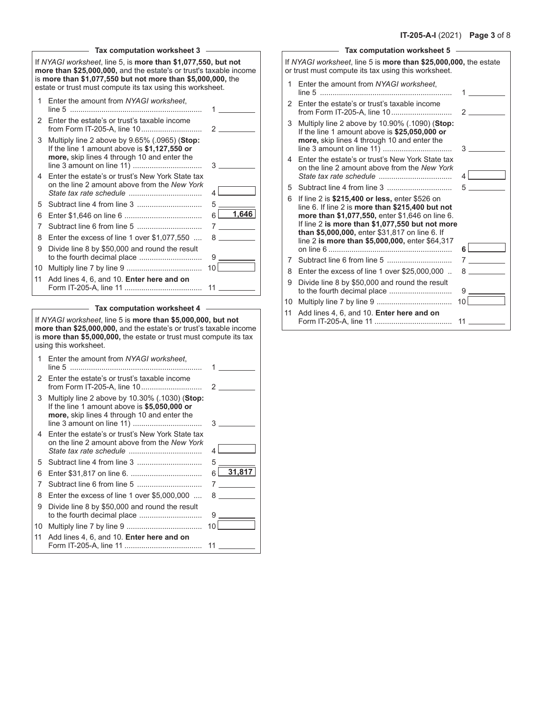| Tax computation worksheet 3 -                                                                                                                                                                                                     |                                                                                                                                                                                                                                                                  |                                   |  |  |  |  |
|-----------------------------------------------------------------------------------------------------------------------------------------------------------------------------------------------------------------------------------|------------------------------------------------------------------------------------------------------------------------------------------------------------------------------------------------------------------------------------------------------------------|-----------------------------------|--|--|--|--|
|                                                                                                                                                                                                                                   | If NYAGI worksheet, line 5, is more than \$1,077,550, but not<br>more than \$25,000,000, and the estate's or trust's taxable income<br>is more than \$1,077,550 but not more than \$5,000,000, the<br>estate or trust must compute its tax using this worksheet. |                                   |  |  |  |  |
| 1                                                                                                                                                                                                                                 | Enter the amount from NYAGI worksheet,                                                                                                                                                                                                                           | $1 \qquad \qquad$                 |  |  |  |  |
| 2                                                                                                                                                                                                                                 | Enter the estate's or trust's taxable income                                                                                                                                                                                                                     |                                   |  |  |  |  |
|                                                                                                                                                                                                                                   | from Form IT-205-A, line 10                                                                                                                                                                                                                                      | $\overline{2}$ and $\overline{2}$ |  |  |  |  |
| 3                                                                                                                                                                                                                                 | Multiply line 2 above by 9.65% (.0965) (Stop:<br>If the line 1 amount above is \$1,127,550 or<br>more, skip lines 4 through 10 and enter the                                                                                                                     | 3                                 |  |  |  |  |
| 4                                                                                                                                                                                                                                 | Enter the estate's or trust's New York State tax<br>on the line 2 amount above from the New York                                                                                                                                                                 | 4 I                               |  |  |  |  |
| 5                                                                                                                                                                                                                                 |                                                                                                                                                                                                                                                                  | 5                                 |  |  |  |  |
| 6                                                                                                                                                                                                                                 |                                                                                                                                                                                                                                                                  | $6 \overline{1,646}$              |  |  |  |  |
| 7                                                                                                                                                                                                                                 |                                                                                                                                                                                                                                                                  | $7 \underline{\hspace{1cm}}$      |  |  |  |  |
| 8                                                                                                                                                                                                                                 | Enter the excess of line 1 over \$1,077,550                                                                                                                                                                                                                      | $8 \sim 1$                        |  |  |  |  |
| 9                                                                                                                                                                                                                                 | Divide line 8 by \$50,000 and round the result<br>to the fourth decimal place                                                                                                                                                                                    | 9.                                |  |  |  |  |
| 10                                                                                                                                                                                                                                |                                                                                                                                                                                                                                                                  | 10 <sup>1</sup>                   |  |  |  |  |
| 11                                                                                                                                                                                                                                | Add lines 4, 6, and 10. Enter here and on                                                                                                                                                                                                                        | $11$ $\qquad$                     |  |  |  |  |
|                                                                                                                                                                                                                                   | Tax computation worksheet 4                                                                                                                                                                                                                                      |                                   |  |  |  |  |
| If NYAGI worksheet, line 5 is more than \$5,000,000, but not<br>more than \$25,000,000, and the estate's or trust's taxable income<br>is more than \$5,000,000, the estate or trust must compute its tax<br>using this worksheet. |                                                                                                                                                                                                                                                                  |                                   |  |  |  |  |
| 1                                                                                                                                                                                                                                 | Enter the amount from NYAGI worksheet,                                                                                                                                                                                                                           | $1 \qquad \qquad$                 |  |  |  |  |
| 2                                                                                                                                                                                                                                 | Enter the estate's or trust's taxable income<br>from Form IT-205-A, line 10                                                                                                                                                                                      | $2 \equiv$                        |  |  |  |  |
| 3                                                                                                                                                                                                                                 | Multiply line 2 above by 10.30% (.1030) (Stop:<br>If the line 1 amount above is \$5,050,000 or<br>more, skip lines 4 through 10 and enter the                                                                                                                    | 3                                 |  |  |  |  |
| 4                                                                                                                                                                                                                                 | Enter the estate's or trust's New York State tax<br>on the line 2 amount above from the New York                                                                                                                                                                 | 4                                 |  |  |  |  |
| 5                                                                                                                                                                                                                                 | Subtract line 4 from line 3                                                                                                                                                                                                                                      | 5                                 |  |  |  |  |
| 6                                                                                                                                                                                                                                 |                                                                                                                                                                                                                                                                  | 31,817<br>6                       |  |  |  |  |

 Subtract line 6 from line 5 ............................... 7 Enter the excess of line 1 over \$5,000,000 .... 8 Divide line 8 by \$50,000 and round the result to the fourth decimal place .............................. 9 Multiply line 7 by line 9 .................................... 10 Add lines 4, 6, and 10. **Enter here and on** 

Form IT-205-A, line 11 ..................................... 11

| 1  | Enter the amount from NYAGI worksheet,                                                                                                                                                                                                                                                                        |               |
|----|---------------------------------------------------------------------------------------------------------------------------------------------------------------------------------------------------------------------------------------------------------------------------------------------------------------|---------------|
| 2  | Enter the estate's or trust's taxable income                                                                                                                                                                                                                                                                  | $\mathcal{P}$ |
| 3  | Multiply line 2 above by $10.90\%$ (.1090) (Stop:<br>If the line 1 amount above is \$25,050,000 or<br>more, skip lines 4 through 10 and enter the                                                                                                                                                             | 3             |
| 4  | Enter the estate's or trust's New York State tax<br>on the line 2 amount above from the New York                                                                                                                                                                                                              | 4             |
| 5. |                                                                                                                                                                                                                                                                                                               | 5             |
| 6  | If line 2 is \$215,400 or less, enter \$526 on<br>line 6. If line 2 is more than \$215,400 but not<br>more than \$1,077,550, enter \$1,646 on line 6.<br>If line 2 is more than \$1,077,550 but not more<br>than \$5,000,000, enter \$31,817 on line 6. If<br>line 2 is more than \$5,000,000, enter \$64,317 |               |
|    |                                                                                                                                                                                                                                                                                                               | 6             |
| 7  |                                                                                                                                                                                                                                                                                                               |               |
| 8  | Enter the excess of line 1 over $$25,000,000$ .                                                                                                                                                                                                                                                               | 8 — 1         |
| 9  | Divide line 8 by \$50,000 and round the result                                                                                                                                                                                                                                                                | 9             |
| 10 |                                                                                                                                                                                                                                                                                                               | 10            |
| 11 | Add lines 4, 6, and 10. Enter here and on                                                                                                                                                                                                                                                                     |               |

Form IT-205-A, line 11 ..................................... 11

If *NYAGI worksheet*, line 5 is **more than \$25,000,000,** the estate

**Tax computation worksheet 5**

or trust must compute its tax using this worksheet.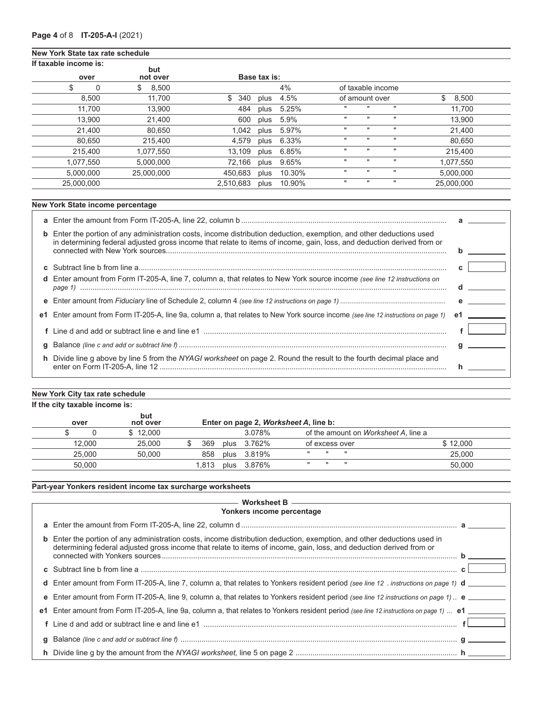#### **New York State tax rate schedule**

| If taxable income is: |           |                 |           |         |              |        |              |                   |                    |             |  |
|-----------------------|-----------|-----------------|-----------|---------|--------------|--------|--------------|-------------------|--------------------|-------------|--|
|                       | over      | but<br>not over |           |         | Base tax is: |        |              |                   |                    |             |  |
| \$                    | 0         | \$<br>8,500     |           |         |              | 4%     |              | of taxable income |                    |             |  |
|                       | 8,500     | 11.700          | \$        | 340     | plus         | 4.5%   |              | of amount over    |                    | \$<br>8,500 |  |
|                       | 11,700    | 13,900          |           | 484     | plus         | 5.25%  |              | $\mathbf{H}$      | $\mathbf{u}$       | 11,700      |  |
|                       | 13.900    | 21,400          |           | 600     | plus         | 5.9%   | $\mathbf{u}$ | $\mathbf{H}$      | $\mathbf{u}$       | 13,900      |  |
|                       | 21,400    | 80.650          |           | 1,042   | plus         | 5.97%  | $\mathbf{u}$ | $\mathbf{H}$      | $\mathbf{u}$       | 21,400      |  |
|                       | 80,650    | 215,400         |           | 4.579   | plus         | 6.33%  | $\mathbf{u}$ | $\mathbf{H}$      | $\pmb{\mathsf{H}}$ | 80,650      |  |
|                       | 215,400   | 1,077,550       |           | 13,109  | plus         | 6.85%  | $\mathbf{H}$ | $\mathbf{H}$      | $\pmb{\mathsf{H}}$ | 215,400     |  |
|                       | 1,077,550 | 5,000,000       |           | 72,166  | plus         | 9.65%  |              | $\mathbf{H}$      | $\mathbf{u}$       | 1,077,550   |  |
|                       | 5,000,000 | 25,000,000      |           | 450,683 | plus         | 10.30% |              |                   | $\mathbf{u}$       | 5,000,000   |  |
| 25,000,000            |           |                 | 2,510,683 |         | plus         | 10.90% |              | $\mathbf{H}$      | $\mathbf{u}$       | 25,000,000  |  |

### **New York State income percentage**

| <b>b</b> Enter the portion of any administration costs, income distribution deduction, exemption, and other deductions used<br>in determining federal adjusted gross income that relate to items of income, gain, loss, and deduction derived from or |    |  |
|-------------------------------------------------------------------------------------------------------------------------------------------------------------------------------------------------------------------------------------------------------|----|--|
|                                                                                                                                                                                                                                                       |    |  |
| d Enter amount from Form IT-205-A, line 7, column a, that relates to New York source income (see line 12 instructions on                                                                                                                              |    |  |
|                                                                                                                                                                                                                                                       |    |  |
| e1 Enter amount from Form IT-205-A, line 9a, column a, that relates to New York source income (see line 12 instructions on page 1)                                                                                                                    | е1 |  |
|                                                                                                                                                                                                                                                       |    |  |
|                                                                                                                                                                                                                                                       |    |  |
| h Divide line g above by line 5 from the NYAGI worksheet on page 2. Round the result to the fourth decimal place and                                                                                                                                  |    |  |

### **New York City tax rate schedule If the city taxable income is:**

| 3.078%<br>\$12.000<br>of the amount on <i>Worksheet A</i> , line a   | over | but<br>not over |  | Enter on page 2, Worksheet A, line b: |  |
|----------------------------------------------------------------------|------|-----------------|--|---------------------------------------|--|
|                                                                      |      |                 |  |                                       |  |
| 369<br>25.000<br>plus 3.762%<br>\$12.000<br>12.000<br>of excess over |      |                 |  |                                       |  |
| <br>$\mathbf{H}$<br>25,000<br>50.000<br>858<br>plus 3.819%<br>25,000 |      |                 |  |                                       |  |
| <br>ш<br>50.000<br>plus 3.876%<br>50.000<br>'.813                    |      |                 |  |                                       |  |

### **Part-year Yonkers resident income tax surcharge worksheets**

|   | Yonkers income percentage                                                                                                                                                                                                                    |  |
|---|----------------------------------------------------------------------------------------------------------------------------------------------------------------------------------------------------------------------------------------------|--|
|   |                                                                                                                                                                                                                                              |  |
| b | Enter the portion of any administration costs, income distribution deduction, exemption, and other deductions used in<br>determining federal adjusted gross income that relate to items of income, gain, loss, and deduction derived from or |  |
|   |                                                                                                                                                                                                                                              |  |
|   | <b>d</b> Enter amount from Form IT-205-A, line 7, column a, that relates to Yonkers resident period (see line 12 . instructions on page 1) $\mathbf{d}$                                                                                      |  |
|   | e Enter amount from Form IT-205-A, line 9, column a, that relates to Yonkers resident period (see line 12 instructions on page 1) e                                                                                                          |  |
|   | e1 Enter amount from Form IT-205-A, line 9a, column a, that relates to Yonkers resident period (see line 12 instructions on page 1)  e1                                                                                                      |  |
|   |                                                                                                                                                                                                                                              |  |
|   |                                                                                                                                                                                                                                              |  |
|   |                                                                                                                                                                                                                                              |  |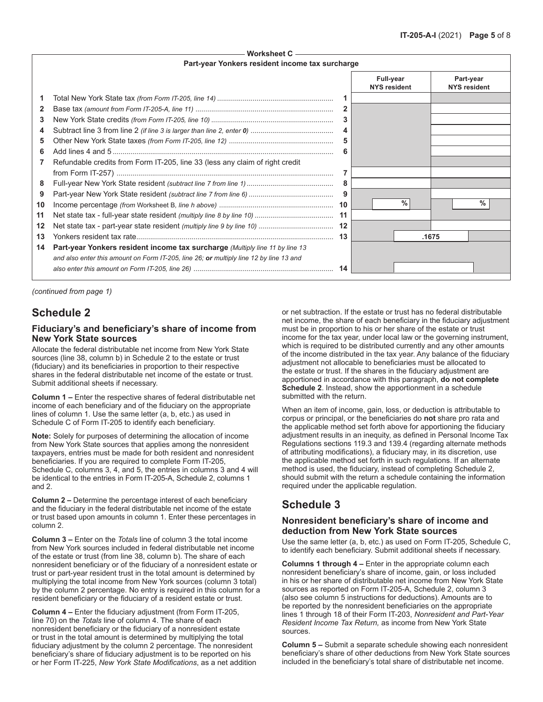|              | <b>VYULNSHEEL U</b>                                                                    |    |                  |                     |       |                                  |  |  |
|--------------|----------------------------------------------------------------------------------------|----|------------------|---------------------|-------|----------------------------------|--|--|
|              | Part-year Yonkers resident income tax surcharge                                        |    |                  |                     |       |                                  |  |  |
|              |                                                                                        |    | <b>Full-year</b> | <b>NYS resident</b> |       | Part-year<br><b>NYS resident</b> |  |  |
| 1            |                                                                                        |    |                  |                     |       |                                  |  |  |
| $\mathbf{2}$ |                                                                                        |    |                  |                     |       |                                  |  |  |
| 3            |                                                                                        |    |                  |                     |       |                                  |  |  |
| 4            |                                                                                        |    |                  |                     |       |                                  |  |  |
| 5            |                                                                                        |    |                  |                     |       |                                  |  |  |
| 6            |                                                                                        |    |                  |                     |       |                                  |  |  |
| 7            | Refundable credits from Form IT-205, line 33 (less any claim of right credit           |    |                  |                     |       |                                  |  |  |
|              |                                                                                        |    |                  |                     |       |                                  |  |  |
| 8            |                                                                                        |    |                  |                     |       |                                  |  |  |
| 9            |                                                                                        |    |                  |                     |       |                                  |  |  |
| 10           |                                                                                        | 10 |                  | %                   |       | ℅                                |  |  |
| 11           |                                                                                        | 11 |                  |                     |       |                                  |  |  |
| 12           |                                                                                        | 12 |                  |                     |       |                                  |  |  |
| 13           |                                                                                        | 13 |                  |                     | .1675 |                                  |  |  |
| 14           | Part-year Yonkers resident income tax surcharge (Multiply line 11 by line 13           |    |                  |                     |       |                                  |  |  |
|              | and also enter this amount on Form IT-205, line 26; or multiply line 12 by line 13 and |    |                  |                     |       |                                  |  |  |
|              |                                                                                        |    |                  |                     |       |                                  |  |  |

**Worksheet C** 

*(continued from page 1)*

## **Schedule 2**

### **Fiduciary's and beneficiary's share of income from New York State sources**

Allocate the federal distributable net income from New York State sources (line 38, column b) in Schedule 2 to the estate or trust (fiduciary) and its beneficiaries in proportion to their respective shares in the federal distributable net income of the estate or trust. Submit additional sheets if necessary.

**Column 1 –** Enter the respective shares of federal distributable net income of each beneficiary and of the fiduciary on the appropriate lines of column 1. Use the same letter (a, b, etc.) as used in Schedule C of Form IT-205 to identify each beneficiary.

**Note:** Solely for purposes of determining the allocation of income from New York State sources that applies among the nonresident taxpayers, entries must be made for both resident and nonresident beneficiaries. If you are required to complete Form IT‑205, Schedule C, columns 3, 4, and 5, the entries in columns 3 and 4 will be identical to the entries in Form IT-205-A, Schedule 2, columns 1 and 2.

**Column 2 –** Determine the percentage interest of each beneficiary and the fiduciary in the federal distributable net income of the estate or trust based upon amounts in column 1. Enter these percentages in column 2.

**Column 3 –** Enter on the *Totals* line of column 3 the total income from New York sources included in federal distributable net income of the estate or trust (from line 38, column b). The share of each nonresident beneficiary or of the fiduciary of a nonresident estate or trust or part-year resident trust in the total amount is determined by multiplying the total income from New York sources (column 3 total) by the column 2 percentage. No entry is required in this column for a resident beneficiary or the fiduciary of a resident estate or trust.

**Column 4 –** Enter the fiduciary adjustment (from Form IT‑205, line 70) on the *Totals* line of column 4. The share of each nonresident beneficiary or the fiduciary of a nonresident estate or trust in the total amount is determined by multiplying the total fiduciary adjustment by the column 2 percentage. The nonresident beneficiary's share of fiduciary adjustment is to be reported on his or her Form IT-225, *New York State Modifications*, as a net addition or net subtraction. If the estate or trust has no federal distributable net income, the share of each beneficiary in the fiduciary adjustment must be in proportion to his or her share of the estate or trust income for the tax year, under local law or the governing instrument, which is required to be distributed currently and any other amounts of the income distributed in the tax year. Any balance of the fiduciary adjustment not allocable to beneficiaries must be allocated to the estate or trust. If the shares in the fiduciary adjustment are apportioned in accordance with this paragraph, **do not complete Schedule 2**. Instead, show the apportionment in a schedule submitted with the return.

When an item of income, gain, loss, or deduction is attributable to corpus or principal, or the beneficiaries do **not** share pro rata and the applicable method set forth above for apportioning the fiduciary adjustment results in an inequity, as defined in Personal Income Tax Regulations sections 119.3 and 139.4 (regarding alternate methods of attributing modifications), a fiduciary may, in its discretion, use the applicable method set forth in such regulations. If an alternate method is used, the fiduciary, instead of completing Schedule 2, should submit with the return a schedule containing the information required under the applicable regulation.

# **Schedule 3**

### **Nonresident beneficiary's share of income and deduction from New York State sources**

Use the same letter (a, b, etc.) as used on Form IT-205, Schedule C, to identify each beneficiary. Submit additional sheets if necessary.

**Columns 1 through 4 –** Enter in the appropriate column each nonresident beneficiary's share of income, gain, or loss included in his or her share of distributable net income from New York State sources as reported on Form IT-205-A, Schedule 2, column 3 (also see column 5 instructions for deductions). Amounts are to be reported by the nonresident beneficiaries on the appropriate lines 1 through 18 of their Form IT-203, *Nonresident and Part-Year Resident Income Tax Return,* as income from New York State sources.

**Column 5 –** Submit a separate schedule showing each nonresident beneficiary's share of other deductions from New York State sources included in the beneficiary's total share of distributable net income.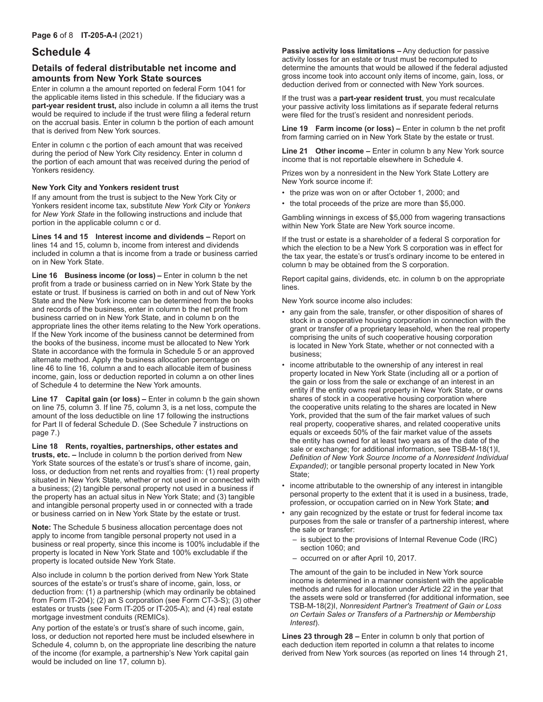### **Schedule 4**

### **Details of federal distributable net income and amounts from New York State sources**

Enter in column a the amount reported on federal Form 1041 for the applicable items listed in this schedule. If the fiduciary was a **part-year resident trust,** also include in column a all items the trust would be required to include if the trust were filing a federal return on the accrual basis. Enter in column b the portion of each amount that is derived from New York sources.

Enter in column c the portion of each amount that was received during the period of New York City residency. Enter in column d the portion of each amount that was received during the period of Yonkers residency.

### **New York City and Yonkers resident trust**

If any amount from the trust is subject to the New York City or Yonkers resident income tax, substitute *New York City* or *Yonkers* for *New York State* in the following instructions and include that portion in the applicable column c or d.

**Lines 14 and 15 Interest income and dividends –** Report on lines 14 and 15, column b, income from interest and dividends included in column a that is income from a trade or business carried on in New York State.

**Line 16 Business income (or loss) –** Enter in column b the net profit from a trade or business carried on in New York State by the estate or trust. If business is carried on both in and out of New York State and the New York income can be determined from the books and records of the business, enter in column b the net profit from business carried on in New York State, and in column b on the appropriate lines the other items relating to the New York operations. If the New York income of the business cannot be determined from the books of the business, income must be allocated to New York State in accordance with the formula in Schedule 5 or an approved alternate method. Apply the business allocation percentage on line 46 to line 16, column a and to each allocable item of business income, gain, loss or deduction reported in column a on other lines of Schedule 4 to determine the New York amounts.

**Line 17 Capital gain (or loss) –** Enter in column b the gain shown on line 75, column 3. If line 75, column 3, is a net loss, compute the amount of the loss deductible on line 17 following the instructions for Part II of federal Schedule D. (See Schedule 7 instructions on page 7.)

**Line 18 Rents, royalties, partnerships, other estates and trusts, etc. –** Include in column b the portion derived from New York State sources of the estate's or trust's share of income, gain, loss, or deduction from net rents and royalties from: (1) real property situated in New York State, whether or not used in or connected with a business; (2) tangible personal property not used in a business if the property has an actual situs in New York State; and (3) tangible and intangible personal property used in or connected with a trade or business carried on in New York State by the estate or trust.

**Note:** The Schedule 5 business allocation percentage does not apply to income from tangible personal property not used in a business or real property, since this income is 100% includable if the property is located in New York State and 100% excludable if the property is located outside New York State.

Also include in column b the portion derived from New York State sources of the estate's or trust's share of income, gain, loss, or deduction from: (1) a partnership (which may ordinarily be obtained from Form IT-204); (2) an S corporation (see Form CT-3-S); (3) other estates or trusts (see Form IT-205 or IT-205-A); and (4) real estate mortgage investment conduits (REMICs).

Any portion of the estate's or trust's share of such income, gain, loss, or deduction not reported here must be included elsewhere in Schedule 4, column b, on the appropriate line describing the nature of the income (for example, a partnership's New York capital gain would be included on line 17, column b).

**Passive activity loss limitations –** Any deduction for passive activity losses for an estate or trust must be recomputed to determine the amounts that would be allowed if the federal adjusted gross income took into account only items of income, gain, loss, or deduction derived from or connected with New York sources.

If the trust was a **part-year resident trust**, you must recalculate your passive activity loss limitations as if separate federal returns were filed for the trust's resident and nonresident periods.

**Line 19 Farm income (or loss) –** Enter in column b the net profit from farming carried on in New York State by the estate or trust.

**Line 21 Other income –** Enter in column b any New York source income that is not reportable elsewhere in Schedule 4.

Prizes won by a nonresident in the New York State Lottery are New York source income if:

- the prize was won on or after October 1, 2000; and
- the total proceeds of the prize are more than \$5,000.

Gambling winnings in excess of \$5,000 from wagering transactions within New York State are New York source income.

If the trust or estate is a shareholder of a federal S corporation for which the election to be a New York S corporation was in effect for the tax year, the estate's or trust's ordinary income to be entered in column b may be obtained from the S corporation.

Report capital gains, dividends, etc. in column b on the appropriate lines.

New York source income also includes:

- any gain from the sale, transfer, or other disposition of shares of stock in a cooperative housing corporation in connection with the grant or transfer of a proprietary leasehold, when the real property comprising the units of such cooperative housing corporation is located in New York State, whether or not connected with a business;
- income attributable to the ownership of any interest in real property located in New York State (including all or a portion of the gain or loss from the sale or exchange of an interest in an entity if the entity owns real property in New York State, or owns shares of stock in a cooperative housing corporation where the cooperative units relating to the shares are located in New York, provided that the sum of the fair market values of such real property, cooperative shares, and related cooperative units equals or exceeds 50% of the fair market value of the assets the entity has owned for at least two years as of the date of the sale or exchange; for additional information, see TSB-M-18(1)I, *Definition of New York Source Income of a Nonresident Individual Expanded)*; or tangible personal property located in New York State;
- income attributable to the ownership of any interest in intangible personal property to the extent that it is used in a business, trade, profession, or occupation carried on in New York State; **and**
- any gain recognized by the estate or trust for federal income tax purposes from the sale or transfer of a partnership interest, where the sale or transfer:
	- is subject to the provisions of Internal Revenue Code (IRC) section 1060; and
	- occurred on or after April 10, 2017.

The amount of the gain to be included in New York source income is determined in a manner consistent with the applicable methods and rules for allocation under Article 22 in the year that the assets were sold or transferred (for additional information, see TSB-M-18(2)I, *Nonresident Partner's Treatment of Gain or Loss on Certain Sales or Transfers of a Partnership or Membership Interest*).

**Lines 23 through 28 –** Enter in column b only that portion of each deduction item reported in column a that relates to income derived from New York sources (as reported on lines 14 through 21,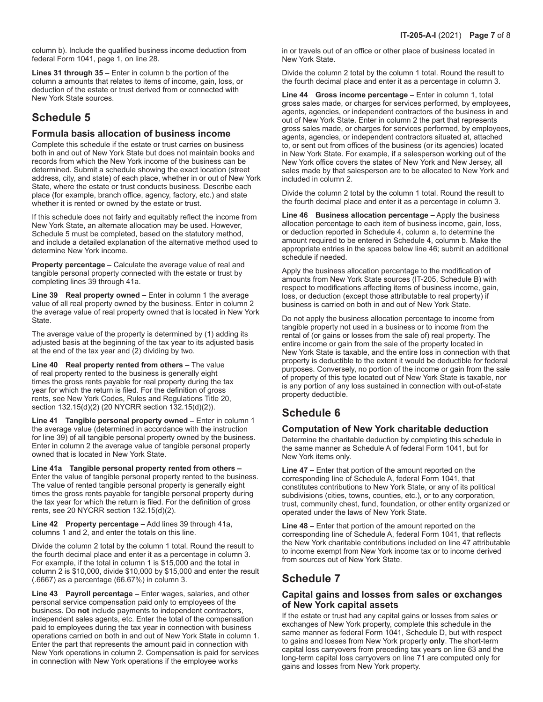column b). Include the qualified business income deduction from federal Form 1041, page 1, on line 28.

**Lines 31 through 35 –** Enter in column b the portion of the column a amounts that relates to items of income, gain, loss, or deduction of the estate or trust derived from or connected with New York State sources.

# **Schedule 5**

### **Formula basis allocation of business income**

Complete this schedule if the estate or trust carries on business both in and out of New York State but does not maintain books and records from which the New York income of the business can be determined. Submit a schedule showing the exact location (street address, city, and state) of each place, whether in or out of New York State, where the estate or trust conducts business. Describe each place (for example, branch office, agency, factory, etc.) and state whether it is rented or owned by the estate or trust.

If this schedule does not fairly and equitably reflect the income from New York State, an alternate allocation may be used. However, Schedule 5 must be completed, based on the statutory method, and include a detailed explanation of the alternative method used to determine New York income.

**Property percentage –** Calculate the average value of real and tangible personal property connected with the estate or trust by completing lines 39 through 41a.

**Line 39 Real property owned –** Enter in column 1 the average value of all real property owned by the business. Enter in column 2 the average value of real property owned that is located in New York State.

The average value of the property is determined by (1) adding its adjusted basis at the beginning of the tax year to its adjusted basis at the end of the tax year and  $(2)$  dividing by two.

**Line 40 Real property rented from others –** The value of real property rented to the business is generally eight times the gross rents payable for real property during the tax year for which the return is filed. For the definition of gross rents, see New York Codes, Rules and Regulations Title 20, section 132.15(d)(2) (20 NYCRR section 132.15(d)(2)).

**Line 41 Tangible personal property owned –** Enter in column 1 the average value (determined in accordance with the instruction for line 39) of all tangible personal property owned by the business. Enter in column 2 the average value of tangible personal property owned that is located in New York State.

**Line 41a Tangible personal property rented from others –** Enter the value of tangible personal property rented to the business. The value of rented tangible personal property is generally eight times the gross rents payable for tangible personal property during the tax year for which the return is filed. For the definition of gross rents, see 20 NYCRR section 132.15(d)(2).

**Line 42 Property percentage –** Add lines 39 through 41a, columns 1 and 2, and enter the totals on this line.

Divide the column 2 total by the column 1 total. Round the result to the fourth decimal place and enter it as a percentage in column 3. For example, if the total in column 1 is \$15,000 and the total in column 2 is \$10,000, divide \$10,000 by \$15,000 and enter the result (.6667) as a percentage (66.67%) in column 3.

**Line 43 Payroll percentage –** Enter wages, salaries, and other personal service compensation paid only to employees of the business. Do **not** include payments to independent contractors, independent sales agents, etc. Enter the total of the compensation paid to employees during the tax year in connection with business operations carried on both in and out of New York State in column 1. Enter the part that represents the amount paid in connection with New York operations in column 2. Compensation is paid for services in connection with New York operations if the employee works

in or travels out of an office or other place of business located in New York State.

Divide the column 2 total by the column 1 total. Round the result to the fourth decimal place and enter it as a percentage in column 3.

**Line 44 Gross income percentage – Enter in column 1, total** gross sales made, or charges for services performed, by employees, agents, agencies, or independent contractors of the business in and out of New York State. Enter in column 2 the part that represents gross sales made, or charges for services performed, by employees, agents, agencies, or independent contractors situated at, attached to, or sent out from offices of the business (or its agencies) located in New York State. For example, if a salesperson working out of the New York office covers the states of New York and New Jersey, all sales made by that salesperson are to be allocated to New York and included in column 2.

Divide the column 2 total by the column 1 total. Round the result to the fourth decimal place and enter it as a percentage in column 3.

**Line 46 Business allocation percentage –** Apply the business allocation percentage to each item of business income, gain, loss, or deduction reported in Schedule 4, column a, to determine the amount required to be entered in Schedule 4, column b. Make the appropriate entries in the spaces below line 46; submit an additional schedule if needed.

Apply the business allocation percentage to the modification of amounts from New York State sources (IT-205, Schedule B) with respect to modifications affecting items of business income, gain, loss, or deduction (except those attributable to real property) if business is carried on both in and out of New York State.

Do not apply the business allocation percentage to income from tangible property not used in a business or to income from the rental of (or gains or losses from the sale of) real property. The entire income or gain from the sale of the property located in New York State is taxable, and the entire loss in connection with that property is deductible to the extent it would be deductible for federal purposes. Conversely, no portion of the income or gain from the sale of property of this type located out of New York State is taxable, nor is any portion of any loss sustained in connection with out-of-state property deductible.

# **Schedule 6**

### **Computation of New York charitable deduction**

Determine the charitable deduction by completing this schedule in the same manner as Schedule A of federal Form 1041, but for New York items only.

**Line 47 –** Enter that portion of the amount reported on the corresponding line of Schedule A, federal Form 1041, that constitutes contributions to New York State, or any of its political subdivisions (cities, towns, counties, etc.), or to any corporation, trust, community chest, fund, foundation, or other entity organized or operated under the laws of New York State.

**Line 48 –** Enter that portion of the amount reported on the corresponding line of Schedule A, federal Form 1041, that reflects the New York charitable contributions included on line 47 attributable to income exempt from New York income tax or to income derived from sources out of New York State.

# **Schedule 7**

### **Capital gains and losses from sales or exchanges of New York capital assets**

If the estate or trust had any capital gains or losses from sales or exchanges of New York property, complete this schedule in the same manner as federal Form 1041, Schedule D, but with respect to gains and losses from New York property **only**. The short-term capital loss carryovers from preceding tax years on line 63 and the long-term capital loss carryovers on line 71 are computed only for gains and losses from New York property.